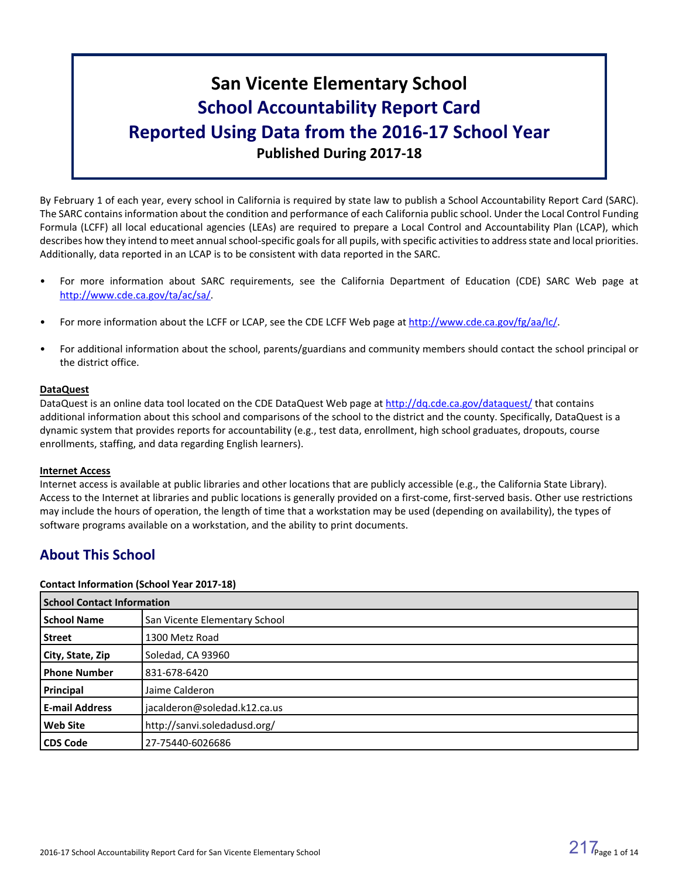# **San Vicente Elementary School School Accountability Report Card Reported Using Data from the 2016-17 School Year Published During 2017-18**

By February 1 of each year, every school in California is required by state law to publish a School Accountability Report Card (SARC). The SARC contains information about the condition and performance of each California public school. Under the Local Control Funding Formula (LCFF) all local educational agencies (LEAs) are required to prepare a Local Control and Accountability Plan (LCAP), which describes how they intend to meet annual school-specific goals for all pupils, with specific activities to address state and local priorities. Additionally, data reported in an LCAP is to be consistent with data reported in the SARC.

- For more information about SARC requirements, see the California Department of Education (CDE) SARC Web page at [http://www.cde.ca.gov/ta/ac/sa/.](http://www.cde.ca.gov/ta/ac/sa/)
- For more information about the LCFF or LCAP, see the CDE LCFF Web page at [http://www.cde.ca.gov/fg/aa/lc/.](http://www.cde.ca.gov/fg/aa/lc/)
- For additional information about the school, parents/guardians and community members should contact the school principal or the district office.

## **DataQuest**

DataQuest is an online data tool located on the CDE DataQuest Web page at <http://dq.cde.ca.gov/dataquest/> that contains additional information about this school and comparisons of the school to the district and the county. Specifically, DataQuest is a dynamic system that provides reports for accountability (e.g., test data, enrollment, high school graduates, dropouts, course enrollments, staffing, and data regarding English learners).

## **Internet Access**

Internet access is available at public libraries and other locations that are publicly accessible (e.g., the California State Library). Access to the Internet at libraries and public locations is generally provided on a first-come, first-served basis. Other use restrictions may include the hours of operation, the length of time that a workstation may be used (depending on availability), the types of software programs available on a workstation, and the ability to print documents.

## **About This School**

## **Contact Information (School Year 2017-18)**

| <b>School Contact Information</b> |                               |
|-----------------------------------|-------------------------------|
| <b>School Name</b>                | San Vicente Elementary School |
| <b>Street</b>                     | 1300 Metz Road                |
| City, State, Zip                  | Soledad, CA 93960             |
| <b>Phone Number</b>               | 831-678-6420                  |
| Principal                         | Jaime Calderon                |
| <b>E-mail Address</b>             | jacalderon@soledad.k12.ca.us  |
| <b>Web Site</b>                   | http://sanvi.soledadusd.org/  |
| <b>CDS Code</b>                   | 27-75440-6026686              |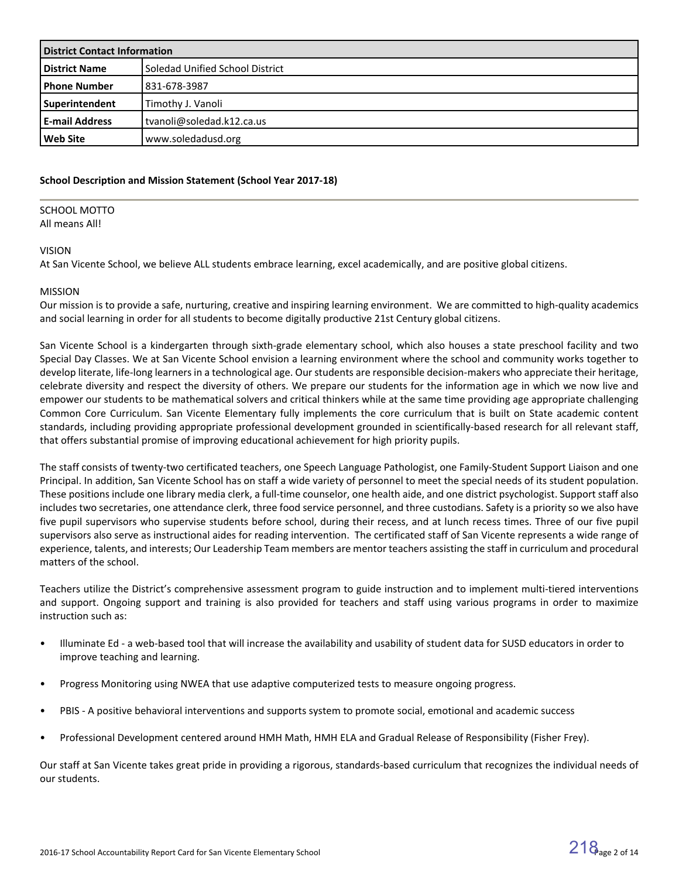| <b>District Contact Information</b> |                                 |  |  |  |
|-------------------------------------|---------------------------------|--|--|--|
| <b>District Name</b>                | Soledad Unified School District |  |  |  |
| <b>Phone Number</b>                 | 831-678-3987                    |  |  |  |
| Superintendent                      | Timothy J. Vanoli               |  |  |  |
| <b>E-mail Address</b>               | tvanoli@soledad.k12.ca.us       |  |  |  |
| l Web Site                          | www.soledadusd.org              |  |  |  |

## **School Description and Mission Statement (School Year 2017-18)**

## SCHOOL MOTTO

All means All!

## VISION

At San Vicente School, we believe ALL students embrace learning, excel academically, and are positive global citizens.

## MISSION

Our mission is to provide a safe, nurturing, creative and inspiring learning environment. We are committed to high-quality academics and social learning in order for all students to become digitally productive 21st Century global citizens.

San Vicente School is a kindergarten through sixth-grade elementary school, which also houses a state preschool facility and two Special Day Classes. We at San Vicente School envision a learning environment where the school and community works together to develop literate, life-long learners in a technological age. Our students are responsible decision-makers who appreciate their heritage, celebrate diversity and respect the diversity of others. We prepare our students for the information age in which we now live and empower our students to be mathematical solvers and critical thinkers while at the same time providing age appropriate challenging Common Core Curriculum. San Vicente Elementary fully implements the core curriculum that is built on State academic content standards, including providing appropriate professional development grounded in scientifically-based research for all relevant staff, that offers substantial promise of improving educational achievement for high priority pupils.

The staff consists of twenty-two certificated teachers, one Speech Language Pathologist, one Family-Student Support Liaison and one Principal. In addition, San Vicente School has on staff a wide variety of personnel to meet the special needs of its student population. These positions include one library media clerk, a full-time counselor, one health aide, and one district psychologist. Support staff also includes two secretaries, one attendance clerk, three food service personnel, and three custodians. Safety is a priority so we also have five pupil supervisors who supervise students before school, during their recess, and at lunch recess times. Three of our five pupil supervisors also serve as instructional aides for reading intervention. The certificated staff of San Vicente represents a wide range of experience, talents, and interests; Our Leadership Team members are mentor teachers assisting the staff in curriculum and procedural matters of the school.

Teachers utilize the District's comprehensive assessment program to guide instruction and to implement multi-tiered interventions and support. Ongoing support and training is also provided for teachers and staff using various programs in order to maximize instruction such as:

- Illuminate Ed a web-based tool that will increase the availability and usability of student data for SUSD educators in order to improve teaching and learning.
- Progress Monitoring using NWEA that use adaptive computerized tests to measure ongoing progress.
- PBIS A positive behavioral interventions and supports system to promote social, emotional and academic success
- Professional Development centered around HMH Math, HMH ELA and Gradual Release of Responsibility (Fisher Frey).

Our staff at San Vicente takes great pride in providing a rigorous, standards-based curriculum that recognizes the individual needs of our students.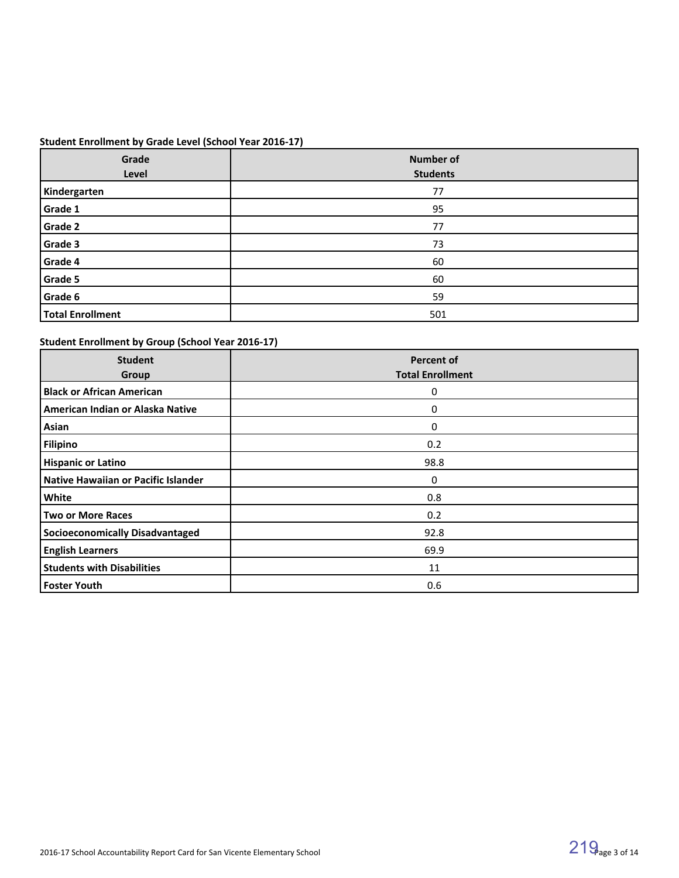## **Student Enrollment by Grade Level (School Year 2016-17)**

| Grade<br>Level          | <b>Number of</b><br><b>Students</b> |
|-------------------------|-------------------------------------|
| Kindergarten            | 77                                  |
| Grade 1                 | 95                                  |
| Grade 2                 | 77                                  |
| Grade 3                 | 73                                  |
| Grade 4                 | 60                                  |
| Grade 5                 | 60                                  |
| Grade 6                 | 59                                  |
| <b>Total Enrollment</b> | 501                                 |

## **Student Enrollment by Group (School Year 2016-17)**

| <b>Student</b><br>Group                | <b>Percent of</b><br><b>Total Enrollment</b> |
|----------------------------------------|----------------------------------------------|
| <b>Black or African American</b>       | 0                                            |
| American Indian or Alaska Native       | 0                                            |
| Asian                                  | 0                                            |
| Filipino                               | 0.2                                          |
| <b>Hispanic or Latino</b>              | 98.8                                         |
| Native Hawaiian or Pacific Islander    | $\Omega$                                     |
| White                                  | 0.8                                          |
| <b>Two or More Races</b>               | 0.2                                          |
| <b>Socioeconomically Disadvantaged</b> | 92.8                                         |
| <b>English Learners</b>                | 69.9                                         |
| <b>Students with Disabilities</b>      | 11                                           |
| <b>Foster Youth</b>                    | 0.6                                          |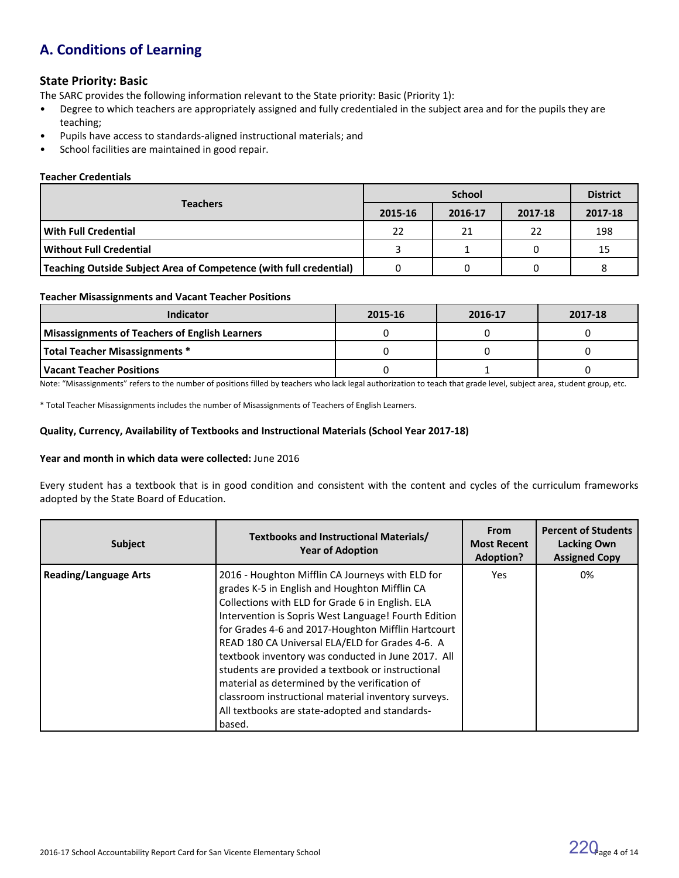## **A. Conditions of Learning**

## **State Priority: Basic**

The SARC provides the following information relevant to the State priority: Basic (Priority 1):

- Degree to which teachers are appropriately assigned and fully credentialed in the subject area and for the pupils they are teaching;
- Pupils have access to standards-aligned instructional materials; and
- School facilities are maintained in good repair.

## **Teacher Credentials**

|                                                                    |         | <b>District</b> |         |         |
|--------------------------------------------------------------------|---------|-----------------|---------|---------|
| <b>Teachers</b>                                                    | 2015-16 | 2016-17         | 2017-18 | 2017-18 |
| <b>With Full Credential</b>                                        | 22      | 21              | 22      | 198     |
| l Without Full Credential                                          |         |                 |         | 15      |
| Teaching Outside Subject Area of Competence (with full credential) |         |                 |         |         |

### **Teacher Misassignments and Vacant Teacher Positions**

| <b>Indicator</b>                                      | 2015-16 | 2016-17 | 2017-18 |
|-------------------------------------------------------|---------|---------|---------|
| <b>Misassignments of Teachers of English Learners</b> |         |         |         |
| Total Teacher Misassignments *                        |         |         |         |
| l Vacant Teacher Positions                            |         |         |         |

Note: "Misassignments" refers to the number of positions filled by teachers who lack legal authorization to teach that grade level, subject area, student group, etc.

\* Total Teacher Misassignments includes the number of Misassignments of Teachers of English Learners.

### **Quality, Currency, Availability of Textbooks and Instructional Materials (School Year 2017-18)**

### **Year and month in which data were collected:** June 2016

Every student has a textbook that is in good condition and consistent with the content and cycles of the curriculum frameworks adopted by the State Board of Education.

| <b>Subject</b>               | Textbooks and Instructional Materials/<br><b>Year of Adoption</b>                                                                                                                                                                                                                                                                                                                                                                                                                                                                                                                                     | <b>From</b><br><b>Most Recent</b><br><b>Adoption?</b> | <b>Percent of Students</b><br><b>Lacking Own</b><br><b>Assigned Copy</b> |
|------------------------------|-------------------------------------------------------------------------------------------------------------------------------------------------------------------------------------------------------------------------------------------------------------------------------------------------------------------------------------------------------------------------------------------------------------------------------------------------------------------------------------------------------------------------------------------------------------------------------------------------------|-------------------------------------------------------|--------------------------------------------------------------------------|
| <b>Reading/Language Arts</b> | 2016 - Houghton Mifflin CA Journeys with ELD for<br>grades K-5 in English and Houghton Mifflin CA<br>Collections with ELD for Grade 6 in English. ELA<br>Intervention is Sopris West Language! Fourth Edition<br>for Grades 4-6 and 2017-Houghton Mifflin Hartcourt<br>READ 180 CA Universal ELA/ELD for Grades 4-6. A<br>textbook inventory was conducted in June 2017. All<br>students are provided a textbook or instructional<br>material as determined by the verification of<br>classroom instructional material inventory surveys.<br>All textbooks are state-adopted and standards-<br>based. | Yes.                                                  | 0%                                                                       |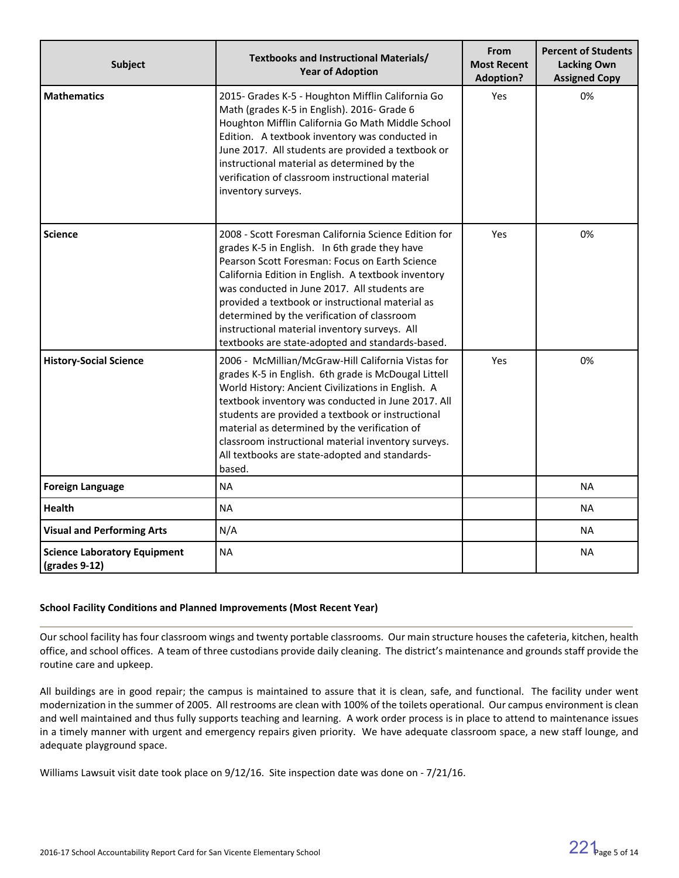| <b>Subject</b>                                                                                                                                                                                                                                                                                                                                                                                               | <b>Textbooks and Instructional Materials/</b><br><b>Year of Adoption</b>                                                                                                                                                                                                                                                                                                                                                                                               | From<br><b>Most Recent</b><br><b>Adoption?</b> | <b>Percent of Students</b><br><b>Lacking Own</b><br><b>Assigned Copy</b> |  |
|--------------------------------------------------------------------------------------------------------------------------------------------------------------------------------------------------------------------------------------------------------------------------------------------------------------------------------------------------------------------------------------------------------------|------------------------------------------------------------------------------------------------------------------------------------------------------------------------------------------------------------------------------------------------------------------------------------------------------------------------------------------------------------------------------------------------------------------------------------------------------------------------|------------------------------------------------|--------------------------------------------------------------------------|--|
| <b>Mathematics</b><br>2015- Grades K-5 - Houghton Mifflin California Go<br>Math (grades K-5 in English). 2016- Grade 6<br>Houghton Mifflin California Go Math Middle School<br>Edition. A textbook inventory was conducted in<br>June 2017. All students are provided a textbook or<br>instructional material as determined by the<br>verification of classroom instructional material<br>inventory surveys. |                                                                                                                                                                                                                                                                                                                                                                                                                                                                        | Yes                                            | 0%                                                                       |  |
| <b>Science</b>                                                                                                                                                                                                                                                                                                                                                                                               | 2008 - Scott Foresman California Science Edition for<br>grades K-5 in English. In 6th grade they have<br>Pearson Scott Foresman: Focus on Earth Science<br>California Edition in English. A textbook inventory<br>was conducted in June 2017. All students are<br>provided a textbook or instructional material as<br>determined by the verification of classroom<br>instructional material inventory surveys. All<br>textbooks are state-adopted and standards-based. | Yes                                            | 0%                                                                       |  |
| <b>History-Social Science</b>                                                                                                                                                                                                                                                                                                                                                                                | 2006 - McMillian/McGraw-Hill California Vistas for<br>grades K-5 in English. 6th grade is McDougal Littell<br>World History: Ancient Civilizations in English. A<br>textbook inventory was conducted in June 2017. All<br>students are provided a textbook or instructional<br>material as determined by the verification of<br>classroom instructional material inventory surveys.<br>All textbooks are state-adopted and standards-<br>based.                        | Yes                                            | 0%                                                                       |  |
| <b>Foreign Language</b>                                                                                                                                                                                                                                                                                                                                                                                      | <b>NA</b>                                                                                                                                                                                                                                                                                                                                                                                                                                                              |                                                | <b>NA</b>                                                                |  |
| <b>Health</b>                                                                                                                                                                                                                                                                                                                                                                                                | <b>NA</b>                                                                                                                                                                                                                                                                                                                                                                                                                                                              |                                                | <b>NA</b>                                                                |  |
| <b>Visual and Performing Arts</b>                                                                                                                                                                                                                                                                                                                                                                            | N/A                                                                                                                                                                                                                                                                                                                                                                                                                                                                    |                                                | <b>NA</b>                                                                |  |
| <b>Science Laboratory Equipment</b><br>$grades 9-12)$                                                                                                                                                                                                                                                                                                                                                        | <b>NA</b>                                                                                                                                                                                                                                                                                                                                                                                                                                                              |                                                | <b>NA</b>                                                                |  |

## **School Facility Conditions and Planned Improvements (Most Recent Year)**

Our school facility has four classroom wings and twenty portable classrooms. Our main structure houses the cafeteria, kitchen, health office, and school offices. A team of three custodians provide daily cleaning. The district's maintenance and grounds staff provide the routine care and upkeep.

All buildings are in good repair; the campus is maintained to assure that it is clean, safe, and functional. The facility under went modernization in the summer of 2005. All restrooms are clean with 100% of the toilets operational. Our campus environment is clean and well maintained and thus fully supports teaching and learning. A work order process is in place to attend to maintenance issues in a timely manner with urgent and emergency repairs given priority. We have adequate classroom space, a new staff lounge, and adequate playground space.

Williams Lawsuit visit date took place on 9/12/16. Site inspection date was done on - 7/21/16.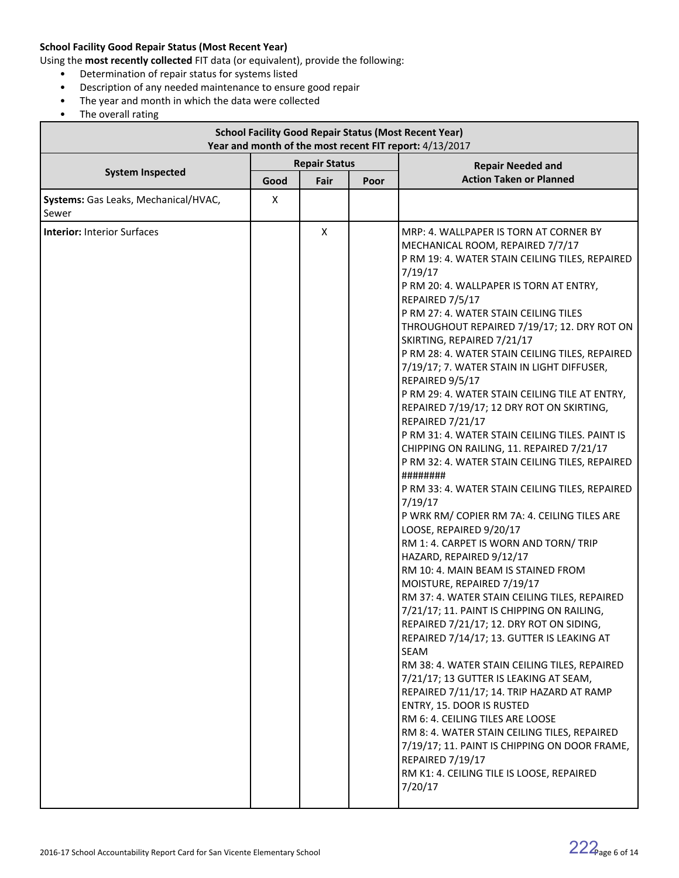## **School Facility Good Repair Status (Most Recent Year)**

Using the **most recently collected** FIT data (or equivalent), provide the following:

- Determination of repair status for systems listed
- Description of any needed maintenance to ensure good repair
- The year and month in which the data were collected
- The overall rating

| <b>School Facility Good Repair Status (Most Recent Year)</b><br>Year and month of the most recent FIT report: 4/13/2017 |                      |                      |  |                                                                                                                                                                                                                                                                                                                                                                                                                                                                                                                                                                                                                                                                                                                                                                                                                                                                                                                                                                                                                                                                                                                                                                                                                                                                                                                                                                                                                                                                                                                                                                                                                      |  |  |  |
|-------------------------------------------------------------------------------------------------------------------------|----------------------|----------------------|--|----------------------------------------------------------------------------------------------------------------------------------------------------------------------------------------------------------------------------------------------------------------------------------------------------------------------------------------------------------------------------------------------------------------------------------------------------------------------------------------------------------------------------------------------------------------------------------------------------------------------------------------------------------------------------------------------------------------------------------------------------------------------------------------------------------------------------------------------------------------------------------------------------------------------------------------------------------------------------------------------------------------------------------------------------------------------------------------------------------------------------------------------------------------------------------------------------------------------------------------------------------------------------------------------------------------------------------------------------------------------------------------------------------------------------------------------------------------------------------------------------------------------------------------------------------------------------------------------------------------------|--|--|--|
|                                                                                                                         |                      | <b>Repair Status</b> |  | <b>Repair Needed and</b>                                                                                                                                                                                                                                                                                                                                                                                                                                                                                                                                                                                                                                                                                                                                                                                                                                                                                                                                                                                                                                                                                                                                                                                                                                                                                                                                                                                                                                                                                                                                                                                             |  |  |  |
| <b>System Inspected</b>                                                                                                 | Good<br>Fair<br>Poor |                      |  | <b>Action Taken or Planned</b>                                                                                                                                                                                                                                                                                                                                                                                                                                                                                                                                                                                                                                                                                                                                                                                                                                                                                                                                                                                                                                                                                                                                                                                                                                                                                                                                                                                                                                                                                                                                                                                       |  |  |  |
| Systems: Gas Leaks, Mechanical/HVAC,<br>Sewer                                                                           | X                    |                      |  |                                                                                                                                                                                                                                                                                                                                                                                                                                                                                                                                                                                                                                                                                                                                                                                                                                                                                                                                                                                                                                                                                                                                                                                                                                                                                                                                                                                                                                                                                                                                                                                                                      |  |  |  |
| <b>Interior: Interior Surfaces</b>                                                                                      |                      | X                    |  | MRP: 4. WALLPAPER IS TORN AT CORNER BY<br>MECHANICAL ROOM, REPAIRED 7/7/17<br>P RM 19: 4. WATER STAIN CEILING TILES, REPAIRED<br>7/19/17<br>P RM 20: 4. WALLPAPER IS TORN AT ENTRY,<br>REPAIRED 7/5/17<br>P RM 27: 4. WATER STAIN CEILING TILES<br>THROUGHOUT REPAIRED 7/19/17; 12. DRY ROT ON<br>SKIRTING, REPAIRED 7/21/17<br>P RM 28: 4. WATER STAIN CEILING TILES, REPAIRED<br>7/19/17; 7. WATER STAIN IN LIGHT DIFFUSER,<br>REPAIRED 9/5/17<br>P RM 29: 4. WATER STAIN CEILING TILE AT ENTRY,<br>REPAIRED 7/19/17; 12 DRY ROT ON SKIRTING,<br>REPAIRED 7/21/17<br>P RM 31: 4. WATER STAIN CEILING TILES. PAINT IS<br>CHIPPING ON RAILING, 11. REPAIRED 7/21/17<br>P RM 32: 4. WATER STAIN CEILING TILES, REPAIRED<br>########<br>P RM 33: 4. WATER STAIN CEILING TILES, REPAIRED<br>7/19/17<br>P WRK RM/ COPIER RM 7A: 4. CEILING TILES ARE<br>LOOSE, REPAIRED 9/20/17<br>RM 1: 4. CARPET IS WORN AND TORN/ TRIP<br>HAZARD, REPAIRED 9/12/17<br>RM 10: 4. MAIN BEAM IS STAINED FROM<br>MOISTURE, REPAIRED 7/19/17<br>RM 37: 4. WATER STAIN CEILING TILES, REPAIRED<br>7/21/17; 11. PAINT IS CHIPPING ON RAILING,<br>REPAIRED 7/21/17; 12. DRY ROT ON SIDING,<br>REPAIRED 7/14/17; 13. GUTTER IS LEAKING AT<br>SEAM<br>RM 38: 4. WATER STAIN CEILING TILES, REPAIRED<br>7/21/17; 13 GUTTER IS LEAKING AT SEAM,<br>REPAIRED 7/11/17; 14. TRIP HAZARD AT RAMP<br>ENTRY, 15. DOOR IS RUSTED<br>RM 6: 4. CEILING TILES ARE LOOSE<br>RM 8: 4. WATER STAIN CEILING TILES, REPAIRED<br>7/19/17; 11. PAINT IS CHIPPING ON DOOR FRAME,<br><b>REPAIRED 7/19/17</b><br>RM K1: 4. CEILING TILE IS LOOSE, REPAIRED<br>7/20/17 |  |  |  |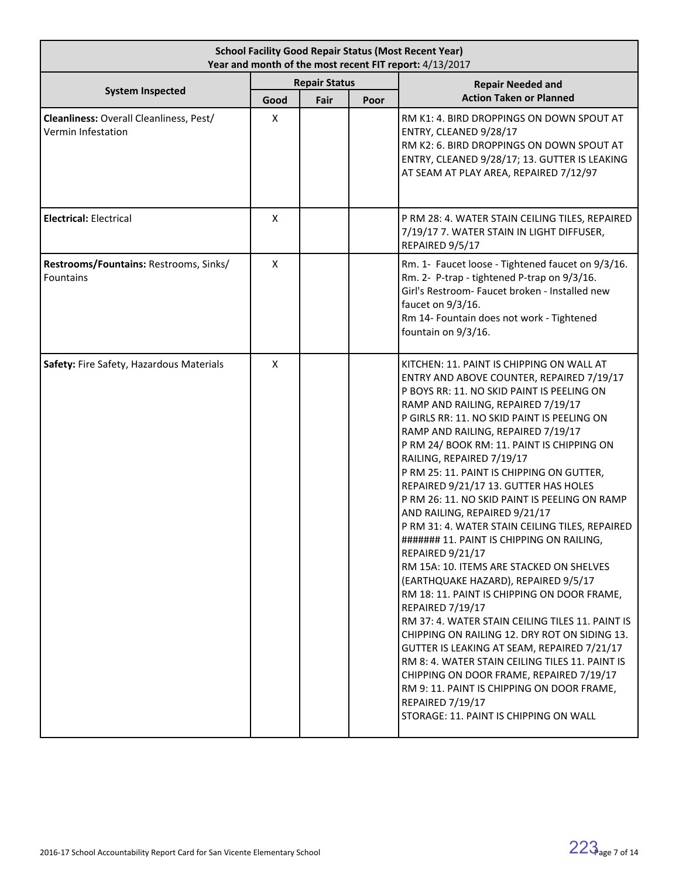| <b>School Facility Good Repair Status (Most Recent Year)</b><br>Year and month of the most recent FIT report: 4/13/2017 |           |                      |      |                                                                                                                                                                                                                                                                                                                                                                                                                                                                                                                                                                                                                                                                                                                                                                                                                                                                                                                                                                                                                                                                                                                                                                            |  |
|-------------------------------------------------------------------------------------------------------------------------|-----------|----------------------|------|----------------------------------------------------------------------------------------------------------------------------------------------------------------------------------------------------------------------------------------------------------------------------------------------------------------------------------------------------------------------------------------------------------------------------------------------------------------------------------------------------------------------------------------------------------------------------------------------------------------------------------------------------------------------------------------------------------------------------------------------------------------------------------------------------------------------------------------------------------------------------------------------------------------------------------------------------------------------------------------------------------------------------------------------------------------------------------------------------------------------------------------------------------------------------|--|
| <b>System Inspected</b>                                                                                                 |           | <b>Repair Status</b> |      | <b>Repair Needed and</b>                                                                                                                                                                                                                                                                                                                                                                                                                                                                                                                                                                                                                                                                                                                                                                                                                                                                                                                                                                                                                                                                                                                                                   |  |
| Cleanliness: Overall Cleanliness, Pest/<br>Vermin Infestation                                                           | Good<br>X | Fair                 | Poor | <b>Action Taken or Planned</b><br>RM K1: 4. BIRD DROPPINGS ON DOWN SPOUT AT<br>ENTRY, CLEANED 9/28/17<br>RM K2: 6. BIRD DROPPINGS ON DOWN SPOUT AT<br>ENTRY, CLEANED 9/28/17; 13. GUTTER IS LEAKING<br>AT SEAM AT PLAY AREA, REPAIRED 7/12/97                                                                                                                                                                                                                                                                                                                                                                                                                                                                                                                                                                                                                                                                                                                                                                                                                                                                                                                              |  |
| <b>Electrical: Electrical</b>                                                                                           | X         |                      |      | P RM 28: 4. WATER STAIN CEILING TILES, REPAIRED<br>7/19/17 7. WATER STAIN IN LIGHT DIFFUSER,<br>REPAIRED 9/5/17                                                                                                                                                                                                                                                                                                                                                                                                                                                                                                                                                                                                                                                                                                                                                                                                                                                                                                                                                                                                                                                            |  |
| Restrooms/Fountains: Restrooms, Sinks/<br><b>Fountains</b>                                                              | X         |                      |      | Rm. 1- Faucet loose - Tightened faucet on 9/3/16.<br>Rm. 2- P-trap - tightened P-trap on 9/3/16.<br>Girl's Restroom- Faucet broken - Installed new<br>faucet on 9/3/16.<br>Rm 14- Fountain does not work - Tightened<br>fountain on 9/3/16.                                                                                                                                                                                                                                                                                                                                                                                                                                                                                                                                                                                                                                                                                                                                                                                                                                                                                                                                |  |
| Safety: Fire Safety, Hazardous Materials                                                                                | X         |                      |      | KITCHEN: 11. PAINT IS CHIPPING ON WALL AT<br>ENTRY AND ABOVE COUNTER, REPAIRED 7/19/17<br>P BOYS RR: 11. NO SKID PAINT IS PEELING ON<br>RAMP AND RAILING, REPAIRED 7/19/17<br>P GIRLS RR: 11. NO SKID PAINT IS PEELING ON<br>RAMP AND RAILING, REPAIRED 7/19/17<br>P RM 24/ BOOK RM: 11. PAINT IS CHIPPING ON<br>RAILING, REPAIRED 7/19/17<br>P RM 25: 11. PAINT IS CHIPPING ON GUTTER,<br>REPAIRED 9/21/17 13. GUTTER HAS HOLES<br>P RM 26: 11. NO SKID PAINT IS PEELING ON RAMP<br>AND RAILING, REPAIRED 9/21/17<br>P RM 31: 4. WATER STAIN CEILING TILES, REPAIRED<br>####### 11. PAINT IS CHIPPING ON RAILING,<br>REPAIRED 9/21/17<br>RM 15A: 10. ITEMS ARE STACKED ON SHELVES<br>(EARTHQUAKE HAZARD), REPAIRED 9/5/17<br>RM 18: 11. PAINT IS CHIPPING ON DOOR FRAME,<br><b>REPAIRED 7/19/17</b><br>RM 37: 4. WATER STAIN CEILING TILES 11. PAINT IS<br>CHIPPING ON RAILING 12, DRY ROT ON SIDING 13.<br>GUTTER IS LEAKING AT SEAM, REPAIRED 7/21/17<br>RM 8: 4. WATER STAIN CEILING TILES 11, PAINT IS<br>CHIPPING ON DOOR FRAME, REPAIRED 7/19/17<br>RM 9: 11. PAINT IS CHIPPING ON DOOR FRAME,<br><b>REPAIRED 7/19/17</b><br>STORAGE: 11. PAINT IS CHIPPING ON WALL |  |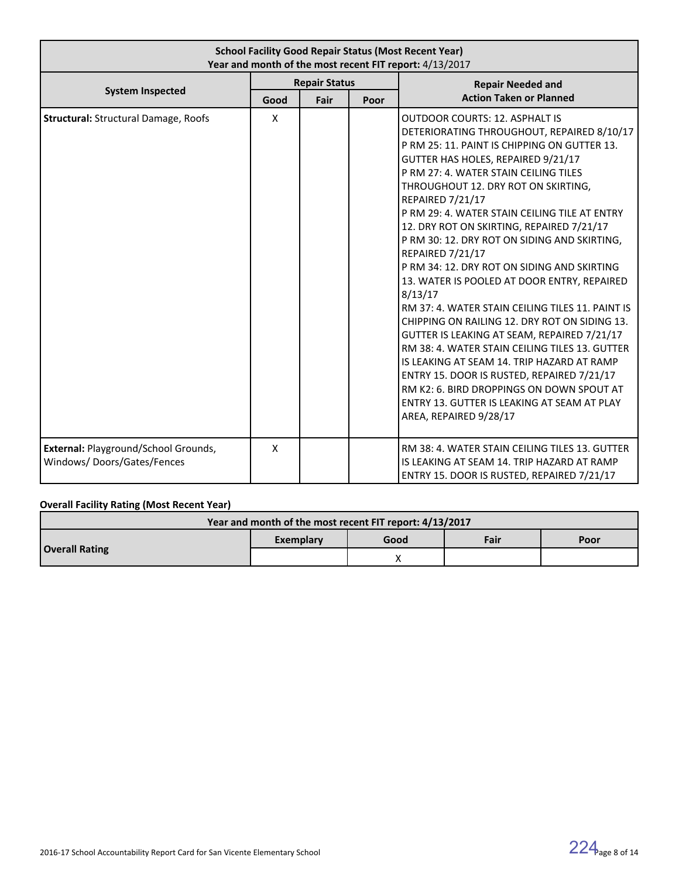| <b>School Facility Good Repair Status (Most Recent Year)</b><br>Year and month of the most recent FIT report: 4/13/2017 |                      |                      |  |                                                                                                                                                                                                                                                                                                                                                                                                                                                                                                                                                                                                                                                                                                                                                                                                                                                                                                                                                                                         |  |  |
|-------------------------------------------------------------------------------------------------------------------------|----------------------|----------------------|--|-----------------------------------------------------------------------------------------------------------------------------------------------------------------------------------------------------------------------------------------------------------------------------------------------------------------------------------------------------------------------------------------------------------------------------------------------------------------------------------------------------------------------------------------------------------------------------------------------------------------------------------------------------------------------------------------------------------------------------------------------------------------------------------------------------------------------------------------------------------------------------------------------------------------------------------------------------------------------------------------|--|--|
|                                                                                                                         |                      | <b>Repair Status</b> |  | <b>Repair Needed and</b>                                                                                                                                                                                                                                                                                                                                                                                                                                                                                                                                                                                                                                                                                                                                                                                                                                                                                                                                                                |  |  |
| <b>System Inspected</b>                                                                                                 | Fair<br>Poor<br>Good |                      |  | <b>Action Taken or Planned</b>                                                                                                                                                                                                                                                                                                                                                                                                                                                                                                                                                                                                                                                                                                                                                                                                                                                                                                                                                          |  |  |
| <b>Structural: Structural Damage, Roofs</b>                                                                             | X                    |                      |  | <b>OUTDOOR COURTS: 12. ASPHALT IS</b><br>DETERIORATING THROUGHOUT, REPAIRED 8/10/17<br>P RM 25: 11. PAINT IS CHIPPING ON GUTTER 13.<br>GUTTER HAS HOLES, REPAIRED 9/21/17<br>P RM 27: 4. WATER STAIN CEILING TILES<br>THROUGHOUT 12. DRY ROT ON SKIRTING,<br><b>REPAIRED 7/21/17</b><br>P RM 29: 4. WATER STAIN CEILING TILE AT ENTRY<br>12. DRY ROT ON SKIRTING, REPAIRED 7/21/17<br>P RM 30: 12. DRY ROT ON SIDING AND SKIRTING,<br>REPAIRED 7/21/17<br>P RM 34: 12. DRY ROT ON SIDING AND SKIRTING<br>13. WATER IS POOLED AT DOOR ENTRY, REPAIRED<br>8/13/17<br>RM 37: 4. WATER STAIN CEILING TILES 11. PAINT IS<br>CHIPPING ON RAILING 12. DRY ROT ON SIDING 13.<br>GUTTER IS LEAKING AT SEAM, REPAIRED 7/21/17<br>RM 38: 4. WATER STAIN CEILING TILES 13. GUTTER<br>IS LEAKING AT SEAM 14. TRIP HAZARD AT RAMP<br>ENTRY 15. DOOR IS RUSTED, REPAIRED 7/21/17<br>RM K2: 6. BIRD DROPPINGS ON DOWN SPOUT AT<br>ENTRY 13. GUTTER IS LEAKING AT SEAM AT PLAY<br>AREA, REPAIRED 9/28/17 |  |  |
| External: Playground/School Grounds,<br>Windows/Doors/Gates/Fences                                                      | X                    |                      |  | RM 38: 4. WATER STAIN CEILING TILES 13. GUTTER<br>IS LEAKING AT SEAM 14. TRIP HAZARD AT RAMP<br>ENTRY 15. DOOR IS RUSTED, REPAIRED 7/21/17                                                                                                                                                                                                                                                                                                                                                                                                                                                                                                                                                                                                                                                                                                                                                                                                                                              |  |  |

## **Overall Facility Rating (Most Recent Year)**

| Year and month of the most recent FIT report: 4/13/2017 |           |      |      |      |  |  |  |
|---------------------------------------------------------|-----------|------|------|------|--|--|--|
|                                                         | Exemplary | Good | Fair | Poor |  |  |  |
| <b>Overall Rating</b>                                   |           |      |      |      |  |  |  |

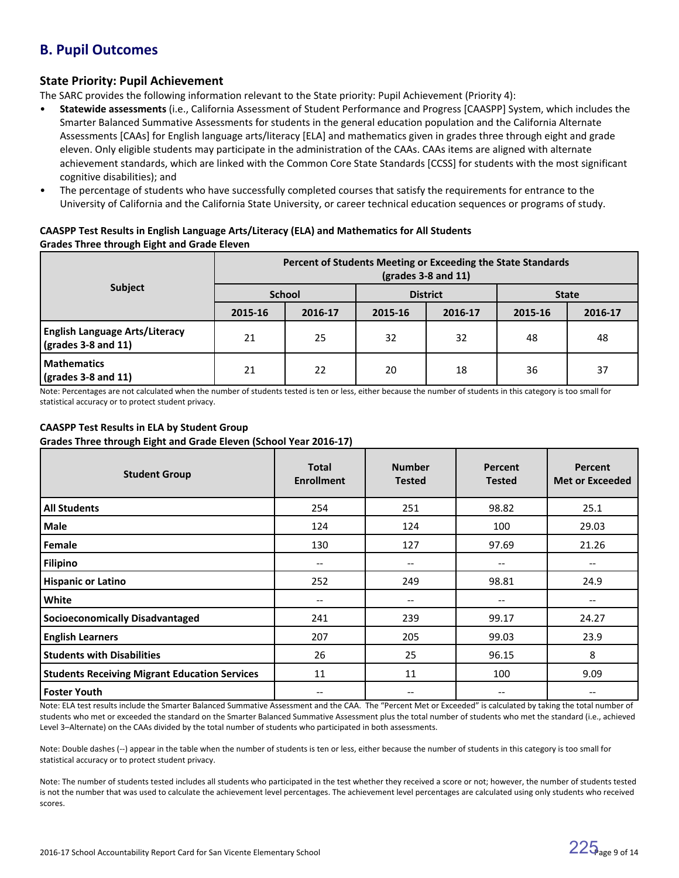## **B. Pupil Outcomes**

## **State Priority: Pupil Achievement**

The SARC provides the following information relevant to the State priority: Pupil Achievement (Priority 4):

- **Statewide assessments** (i.e., California Assessment of Student Performance and Progress [CAASPP] System, which includes the Smarter Balanced Summative Assessments for students in the general education population and the California Alternate Assessments [CAAs] for English language arts/literacy [ELA] and mathematics given in grades three through eight and grade eleven. Only eligible students may participate in the administration of the CAAs. CAAs items are aligned with alternate achievement standards, which are linked with the Common Core State Standards [CCSS] for students with the most significant cognitive disabilities); and
- The percentage of students who have successfully completed courses that satisfy the requirements for entrance to the University of California and the California State University, or career technical education sequences or programs of study.

## **CAASPP Test Results in English Language Arts/Literacy (ELA) and Mathematics for All Students Grades Three through Eight and Grade Eleven**

|                                                                            | Percent of Students Meeting or Exceeding the State Standards<br>$\left(\text{grades }3 - 8 \text{ and } 11\right)$ |               |         |                 |              |         |  |  |  |
|----------------------------------------------------------------------------|--------------------------------------------------------------------------------------------------------------------|---------------|---------|-----------------|--------------|---------|--|--|--|
| Subject                                                                    |                                                                                                                    | <b>School</b> |         | <b>District</b> | <b>State</b> |         |  |  |  |
|                                                                            | 2015-16                                                                                                            | 2016-17       | 2015-16 | 2016-17         | 2015-16      | 2016-17 |  |  |  |
| <b>English Language Arts/Literacy</b><br>$\frac{1}{2}$ (grades 3-8 and 11) | 21                                                                                                                 | 25            | 32      | 32              | 48           | 48      |  |  |  |
| <b>Mathematics</b><br>$\sqrt{(grades 3-8 and 11)}$                         | 21                                                                                                                 | 22            | 20      | 18              | 36           | 37      |  |  |  |

Note: Percentages are not calculated when the number of students tested is ten or less, either because the number of students in this category is too small for statistical accuracy or to protect student privacy.

### **CAASPP Test Results in ELA by Student Group Grades Three through Eight and Grade Eleven (School Year 2016-17)**

| <b>Student Group</b>                                 | <b>Total</b><br><b>Enrollment</b>     | <b>Number</b><br><b>Tested</b> | Percent<br><b>Tested</b>              | Percent<br><b>Met or Exceeded</b>     |
|------------------------------------------------------|---------------------------------------|--------------------------------|---------------------------------------|---------------------------------------|
| <b>All Students</b>                                  | 254                                   | 251                            | 98.82                                 | 25.1                                  |
| Male                                                 | 124                                   | 124                            | 100                                   | 29.03                                 |
| Female                                               | 130                                   | 127                            | 97.69                                 | 21.26                                 |
| Filipino                                             | $\hspace{0.05cm}$ – $\hspace{0.05cm}$ | $\qquad \qquad -$              | $\hspace{0.05cm}$ – $\hspace{0.05cm}$ | --                                    |
| <b>Hispanic or Latino</b>                            | 252                                   | 249                            | 98.81                                 | 24.9                                  |
| White                                                | $\hspace{0.05cm}$ – $\hspace{0.05cm}$ | --                             | --                                    | --                                    |
| <b>Socioeconomically Disadvantaged</b>               | 241                                   | 239                            | 99.17                                 | 24.27                                 |
| <b>English Learners</b>                              | 207                                   | 205                            | 99.03                                 | 23.9                                  |
| <b>Students with Disabilities</b>                    | 26                                    | 25                             | 96.15                                 | 8                                     |
| <b>Students Receiving Migrant Education Services</b> | 11                                    | 11                             | 100                                   | 9.09                                  |
| <b>Foster Youth</b>                                  | $\hspace{0.05cm}$ – $\hspace{0.05cm}$ | $\qquad \qquad -$              | $\hspace{0.05cm}$ – $\hspace{0.05cm}$ | $\hspace{0.05cm}$ – $\hspace{0.05cm}$ |

Note: ELA test results include the Smarter Balanced Summative Assessment and the CAA. The "Percent Met or Exceeded" is calculated by taking the total number of students who met or exceeded the standard on the Smarter Balanced Summative Assessment plus the total number of students who met the standard (i.e., achieved Level 3–Alternate) on the CAAs divided by the total number of students who participated in both assessments.

Note: Double dashes (--) appear in the table when the number of students is ten or less, either because the number of students in this category is too small for statistical accuracy or to protect student privacy.

Note: The number of students tested includes all students who participated in the test whether they received a score or not; however, the number of students tested is not the number that was used to calculate the achievement level percentages. The achievement level percentages are calculated using only students who received scores.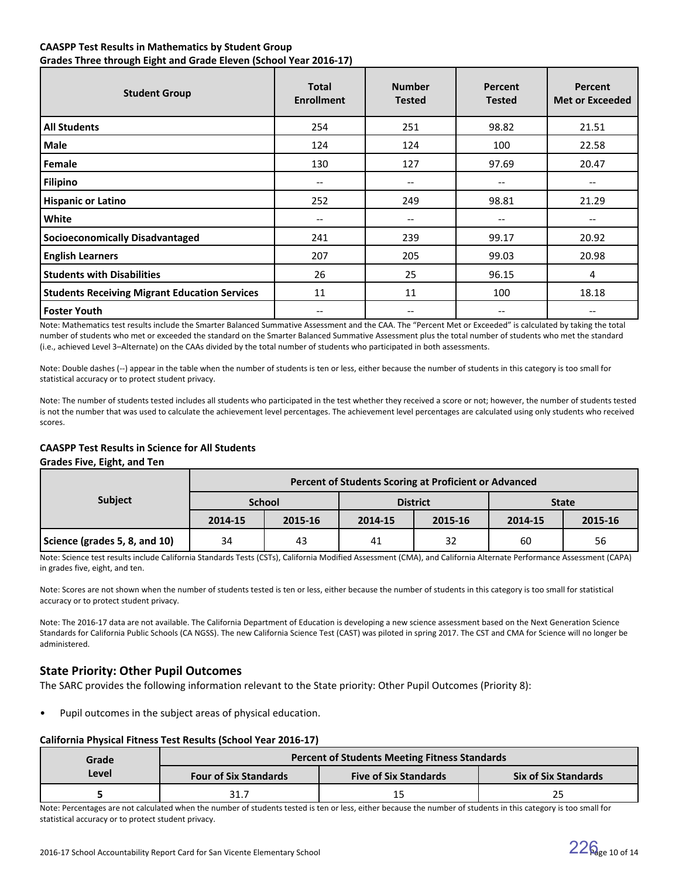## **CAASPP Test Results in Mathematics by Student Group Grades Three through Eight and Grade Eleven (School Year 2016-17)**

| <b>Student Group</b>                                 | <b>Total</b><br><b>Enrollment</b> | <b>Number</b><br><b>Tested</b> | Percent<br><b>Tested</b> | Percent<br><b>Met or Exceeded</b> |
|------------------------------------------------------|-----------------------------------|--------------------------------|--------------------------|-----------------------------------|
| <b>All Students</b>                                  | 254                               | 251                            | 98.82                    | 21.51                             |
| <b>Male</b>                                          | 124                               | 124                            | 100                      | 22.58                             |
| Female                                               | 130                               | 127                            | 97.69                    | 20.47                             |
| <b>Filipino</b>                                      | $\overline{\phantom{a}}$          | $-\!$                          | $\qquad \qquad -$        | --                                |
| <b>Hispanic or Latino</b>                            | 252                               | 249                            | 98.81                    | 21.29                             |
| White                                                | $\overline{\phantom{a}}$          | $\hspace{0.05cm} \ldots$       | $\overline{\phantom{a}}$ | --                                |
| <b>Socioeconomically Disadvantaged</b>               | 241                               | 239                            | 99.17                    | 20.92                             |
| <b>English Learners</b>                              | 207                               | 205                            | 99.03                    | 20.98                             |
| <b>Students with Disabilities</b>                    | 26                                | 25                             | 96.15                    | 4                                 |
| <b>Students Receiving Migrant Education Services</b> | 11                                | 11                             | 100                      | 18.18                             |
| <b>Foster Youth</b>                                  | --                                | --                             |                          |                                   |

Note: Mathematics test results include the Smarter Balanced Summative Assessment and the CAA. The "Percent Met or Exceeded" is calculated by taking the total number of students who met or exceeded the standard on the Smarter Balanced Summative Assessment plus the total number of students who met the standard (i.e., achieved Level 3–Alternate) on the CAAs divided by the total number of students who participated in both assessments.

Note: Double dashes (--) appear in the table when the number of students is ten or less, either because the number of students in this category is too small for statistical accuracy or to protect student privacy.

Note: The number of students tested includes all students who participated in the test whether they received a score or not; however, the number of students tested is not the number that was used to calculate the achievement level percentages. The achievement level percentages are calculated using only students who received scores.

## **CAASPP Test Results in Science for All Students**

### **Grades Five, Eight, and Ten**

|                               | Percent of Students Scoring at Proficient or Advanced |               |         |                 |              |         |  |  |
|-------------------------------|-------------------------------------------------------|---------------|---------|-----------------|--------------|---------|--|--|
| <b>Subject</b>                |                                                       | <b>School</b> |         | <b>District</b> | <b>State</b> |         |  |  |
|                               | 2014-15                                               | 2015-16       | 2014-15 | 2015-16         | 2014-15      | 2015-16 |  |  |
| Science (grades 5, 8, and 10) | 34                                                    | 43            | 41      | 32              | 60           | 56      |  |  |

Note: Science test results include California Standards Tests (CSTs), California Modified Assessment (CMA), and California Alternate Performance Assessment (CAPA) in grades five, eight, and ten.

Note: Scores are not shown when the number of students tested is ten or less, either because the number of students in this category is too small for statistical accuracy or to protect student privacy.

Note: The 2016-17 data are not available. The California Department of Education is developing a new science assessment based on the Next Generation Science Standards for California Public Schools (CA NGSS). The new California Science Test (CAST) was piloted in spring 2017. The CST and CMA for Science will no longer be administered.

## **State Priority: Other Pupil Outcomes**

The SARC provides the following information relevant to the State priority: Other Pupil Outcomes (Priority 8):

• Pupil outcomes in the subject areas of physical education.

## **California Physical Fitness Test Results (School Year 2016-17)**

| Grade | <b>Percent of Students Meeting Fitness Standards</b> |                              |                             |  |  |  |  |
|-------|------------------------------------------------------|------------------------------|-----------------------------|--|--|--|--|
| Level | <b>Four of Six Standards</b>                         | <b>Five of Six Standards</b> | <b>Six of Six Standards</b> |  |  |  |  |
|       | 31.7                                                 |                              |                             |  |  |  |  |

Note: Percentages are not calculated when the number of students tested is ten or less, either because the number of students in this category is too small for statistical accuracy or to protect student privacy.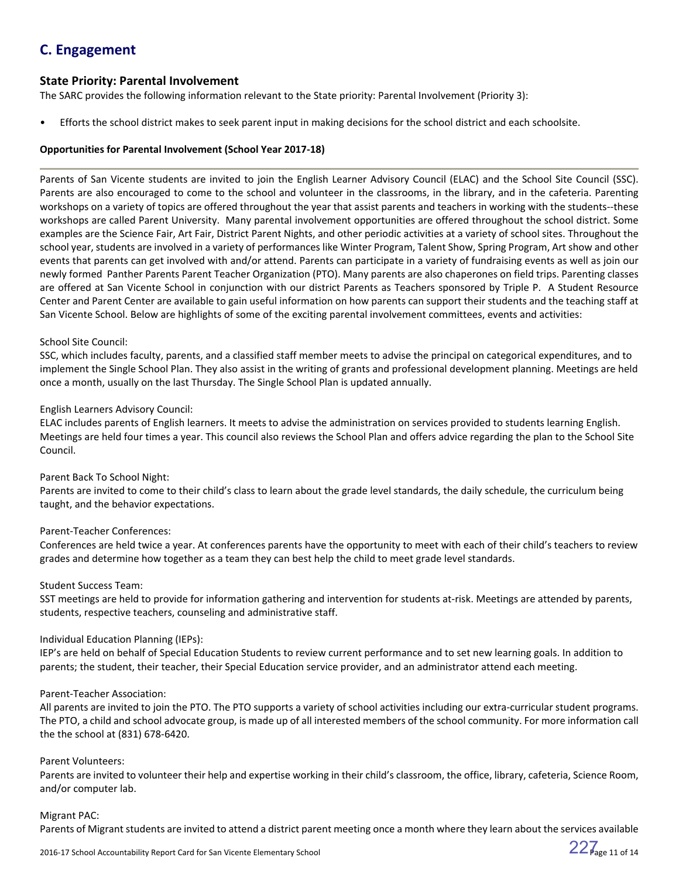## **C. Engagement**

## **State Priority: Parental Involvement**

The SARC provides the following information relevant to the State priority: Parental Involvement (Priority 3):

• Efforts the school district makes to seek parent input in making decisions for the school district and each schoolsite.

## **Opportunities for Parental Involvement (School Year 2017-18)**

Parents of San Vicente students are invited to join the English Learner Advisory Council (ELAC) and the School Site Council (SSC). Parents are also encouraged to come to the school and volunteer in the classrooms, in the library, and in the cafeteria. Parenting workshops on a variety of topics are offered throughout the year that assist parents and teachers in working with the students--these workshops are called Parent University. Many parental involvement opportunities are offered throughout the school district. Some examples are the Science Fair, Art Fair, District Parent Nights, and other periodic activities at a variety of school sites. Throughout the school year, students are involved in a variety of performances like Winter Program, Talent Show, Spring Program, Art show and other events that parents can get involved with and/or attend. Parents can participate in a variety of fundraising events as well as join our newly formed Panther Parents Parent Teacher Organization (PTO). Many parents are also chaperones on field trips. Parenting classes are offered at San Vicente School in conjunction with our district Parents as Teachers sponsored by Triple P. A Student Resource Center and Parent Center are available to gain useful information on how parents can support their students and the teaching staff at San Vicente School. Below are highlights of some of the exciting parental involvement committees, events and activities:

## School Site Council:

SSC, which includes faculty, parents, and a classified staff member meets to advise the principal on categorical expenditures, and to implement the Single School Plan. They also assist in the writing of grants and professional development planning. Meetings are held once a month, usually on the last Thursday. The Single School Plan is updated annually.

## English Learners Advisory Council:

ELAC includes parents of English learners. It meets to advise the administration on services provided to students learning English. Meetings are held four times a year. This council also reviews the School Plan and offers advice regarding the plan to the School Site Council.

## Parent Back To School Night:

Parents are invited to come to their child's class to learn about the grade level standards, the daily schedule, the curriculum being taught, and the behavior expectations.

## Parent-Teacher Conferences:

Conferences are held twice a year. At conferences parents have the opportunity to meet with each of their child's teachers to review grades and determine how together as a team they can best help the child to meet grade level standards.

### Student Success Team:

SST meetings are held to provide for information gathering and intervention for students at-risk. Meetings are attended by parents, students, respective teachers, counseling and administrative staff.

## Individual Education Planning (IEPs):

IEP's are held on behalf of Special Education Students to review current performance and to set new learning goals. In addition to parents; the student, their teacher, their Special Education service provider, and an administrator attend each meeting.

### Parent-Teacher Association:

All parents are invited to join the PTO. The PTO supports a variety of school activities including our extra-curricular student programs. The PTO, a child and school advocate group, is made up of all interested members of the school community. For more information call the the school at (831) 678-6420.

## Parent Volunteers:

Parents are invited to volunteer their help and expertise working in their child's classroom, the office, library, cafeteria, Science Room, and/or computer lab.

## Migrant PAC:

Parents of Migrant students are invited to attend a district parent meeting once a month where they learn about the services available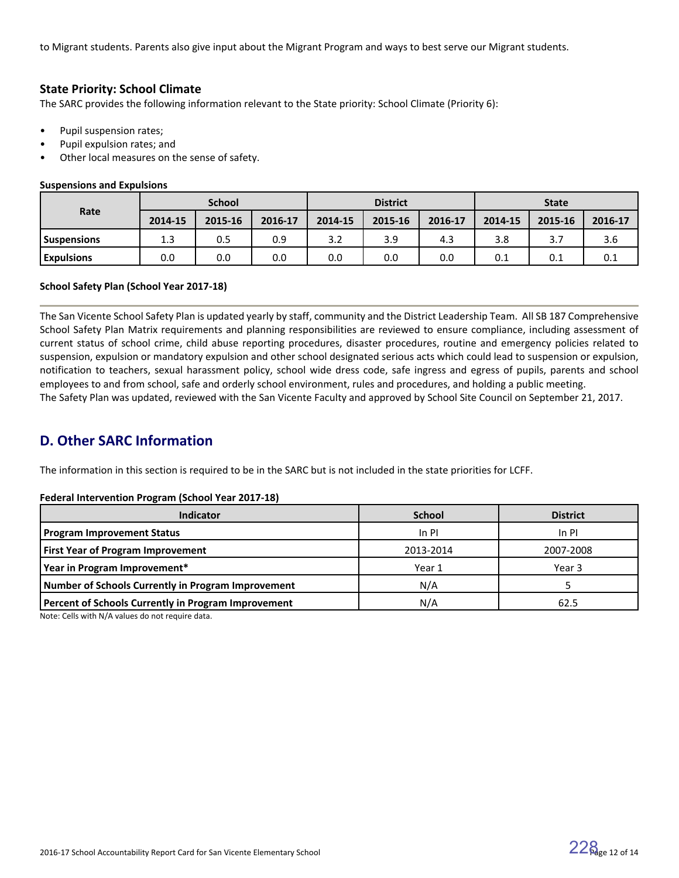to Migrant students. Parents also give input about the Migrant Program and ways to best serve our Migrant students.

## **State Priority: School Climate**

The SARC provides the following information relevant to the State priority: School Climate (Priority 6):

- Pupil suspension rates;
- Pupil expulsion rates; and
- Other local measures on the sense of safety.

### **Suspensions and Expulsions**

|                    | <b>School</b> |         |         | <b>District</b> |         |         | <b>State</b> |         |         |
|--------------------|---------------|---------|---------|-----------------|---------|---------|--------------|---------|---------|
| Rate               | 2014-15       | 2015-16 | 2016-17 | 2014-15         | 2015-16 | 2016-17 | 2014-15      | 2015-16 | 2016-17 |
| <b>Suspensions</b> | 1.3           | 0.5     | 0.9     | 3.2             | 3.9     | 4.3     | 3.8          | 3.7     | 3.6     |
| <b>Expulsions</b>  | 0.0           | 0.0     | 0.0     | 0.0             | 0.0     | 0.0     | 0.1          | 0.1     | 0.1     |

## **School Safety Plan (School Year 2017-18)**

The San Vicente School Safety Plan is updated yearly by staff, community and the District Leadership Team. All SB 187 Comprehensive School Safety Plan Matrix requirements and planning responsibilities are reviewed to ensure compliance, including assessment of current status of school crime, child abuse reporting procedures, disaster procedures, routine and emergency policies related to suspension, expulsion or mandatory expulsion and other school designated serious acts which could lead to suspension or expulsion, notification to teachers, sexual harassment policy, school wide dress code, safe ingress and egress of pupils, parents and school employees to and from school, safe and orderly school environment, rules and procedures, and holding a public meeting. The Safety Plan was updated, reviewed with the San Vicente Faculty and approved by School Site Council on September 21, 2017.

## **D. Other SARC Information**

The information in this section is required to be in the SARC but is not included in the state priorities for LCFF.

### **Federal Intervention Program (School Year 2017-18)**

| Indicator                                           | <b>School</b> | <b>District</b> |
|-----------------------------------------------------|---------------|-----------------|
| <b>Program Improvement Status</b>                   | $In$ PI       | $In$ PI         |
| <b>First Year of Program Improvement</b>            | 2013-2014     | 2007-2008       |
| Year in Program Improvement*                        | Year 1        | Year 3          |
| Number of Schools Currently in Program Improvement  | N/A           |                 |
| Percent of Schools Currently in Program Improvement | N/A           | 62.5            |

Note: Cells with N/A values do not require data.

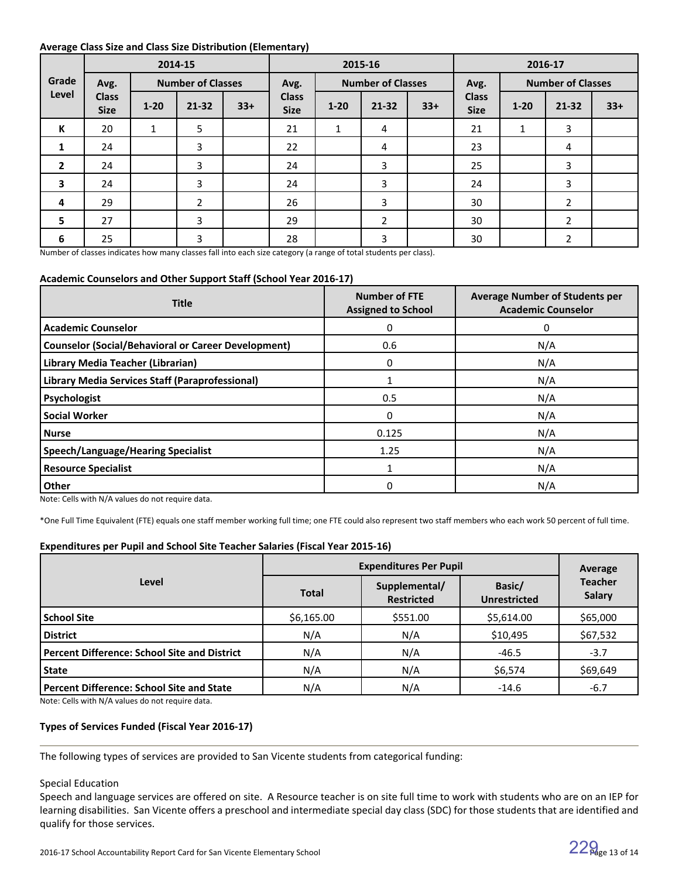### **Average Class Size and Class Size Distribution (Elementary)**

|                         |                             |              | 2015-16<br>2014-15<br>2016-17 |       |                             |          |                          |       |                             |          |                          |       |
|-------------------------|-----------------------------|--------------|-------------------------------|-------|-----------------------------|----------|--------------------------|-------|-----------------------------|----------|--------------------------|-------|
| Grade                   | Avg.                        |              | <b>Number of Classes</b>      |       | Avg.                        |          | <b>Number of Classes</b> |       | Avg.                        |          | <b>Number of Classes</b> |       |
| Level                   | <b>Class</b><br><b>Size</b> | $1 - 20$     | $21 - 32$                     | $33+$ | <b>Class</b><br><b>Size</b> | $1 - 20$ | $21 - 32$                | $33+$ | <b>Class</b><br><b>Size</b> | $1 - 20$ | $21 - 32$                | $33+$ |
| K                       | 20                          | $\mathbf{1}$ | 5                             |       | 21                          | 1        | 4                        |       | 21                          | 1        | 3                        |       |
| 1                       | 24                          |              | 3                             |       | 22                          |          | 4                        |       | 23                          |          | 4                        |       |
| $\overline{2}$          | 24                          |              | 3                             |       | 24                          |          | 3                        |       | 25                          |          | 3                        |       |
| $\overline{\mathbf{3}}$ | 24                          |              | 3                             |       | 24                          |          | 3                        |       | 24                          |          | 3                        |       |
| 4                       | 29                          |              | $\overline{2}$                |       | 26                          |          | 3                        |       | 30                          |          | $\overline{2}$           |       |
| 5                       | 27                          |              | 3                             |       | 29                          |          | $\overline{2}$           |       | 30                          |          | $\overline{2}$           |       |
| 6                       | 25                          |              | 3                             |       | 28                          |          | 3                        |       | 30                          |          | $\overline{2}$           |       |

Number of classes indicates how many classes fall into each size category (a range of total students per class).

### **Academic Counselors and Other Support Staff (School Year 2016-17)**

| <b>Title</b>                                               | <b>Number of FTE</b><br><b>Assigned to School</b> | <b>Average Number of Students per</b><br><b>Academic Counselor</b> |
|------------------------------------------------------------|---------------------------------------------------|--------------------------------------------------------------------|
| <b>Academic Counselor</b>                                  | 0                                                 | 0                                                                  |
| <b>Counselor (Social/Behavioral or Career Development)</b> | 0.6                                               | N/A                                                                |
| Library Media Teacher (Librarian)                          | 0                                                 | N/A                                                                |
| Library Media Services Staff (Paraprofessional)            |                                                   | N/A                                                                |
| Psychologist                                               | 0.5                                               | N/A                                                                |
| <b>Social Worker</b>                                       | $\Omega$                                          | N/A                                                                |
| <b>Nurse</b>                                               | 0.125                                             | N/A                                                                |
| <b>Speech/Language/Hearing Specialist</b>                  | 1.25                                              | N/A                                                                |
| <b>Resource Specialist</b>                                 |                                                   | N/A                                                                |
| <b>Other</b>                                               | 0                                                 | N/A                                                                |

Note: Cells with N/A values do not require data.

\*One Full Time Equivalent (FTE) equals one staff member working full time; one FTE could also represent two staff members who each work 50 percent of full time.

### **Expenditures per Pupil and School Site Teacher Salaries (Fiscal Year 2015-16)**

|                                                     | <b>Expenditures Per Pupil</b> | Average                            |                               |                          |  |
|-----------------------------------------------------|-------------------------------|------------------------------------|-------------------------------|--------------------------|--|
| Level                                               | <b>Total</b>                  | Supplemental/<br><b>Restricted</b> | Basic/<br><b>Unrestricted</b> | <b>Teacher</b><br>Salary |  |
| <b>School Site</b>                                  | \$6,165.00                    | \$551.00                           | \$5,614.00                    | \$65,000                 |  |
| <b>District</b>                                     | N/A                           | N/A                                | \$10,495                      | \$67,532                 |  |
| <b>Percent Difference: School Site and District</b> | N/A                           | N/A                                | $-46.5$                       | $-3.7$                   |  |
| <b>State</b>                                        | N/A                           | N/A                                | \$6,574                       | \$69,649                 |  |
| <b>Percent Difference: School Site and State</b>    | N/A                           | N/A                                | $-14.6$                       | $-6.7$                   |  |

Note: Cells with N/A values do not require data.

## **Types of Services Funded (Fiscal Year 2016-17)**

The following types of services are provided to San Vicente students from categorical funding:

### Special Education

Speech and language services are offered on site. A Resource teacher is on site full time to work with students who are on an IEP for learning disabilities. San Vicente offers a preschool and intermediate special day class (SDC) for those students that are identified and qualify for those services.